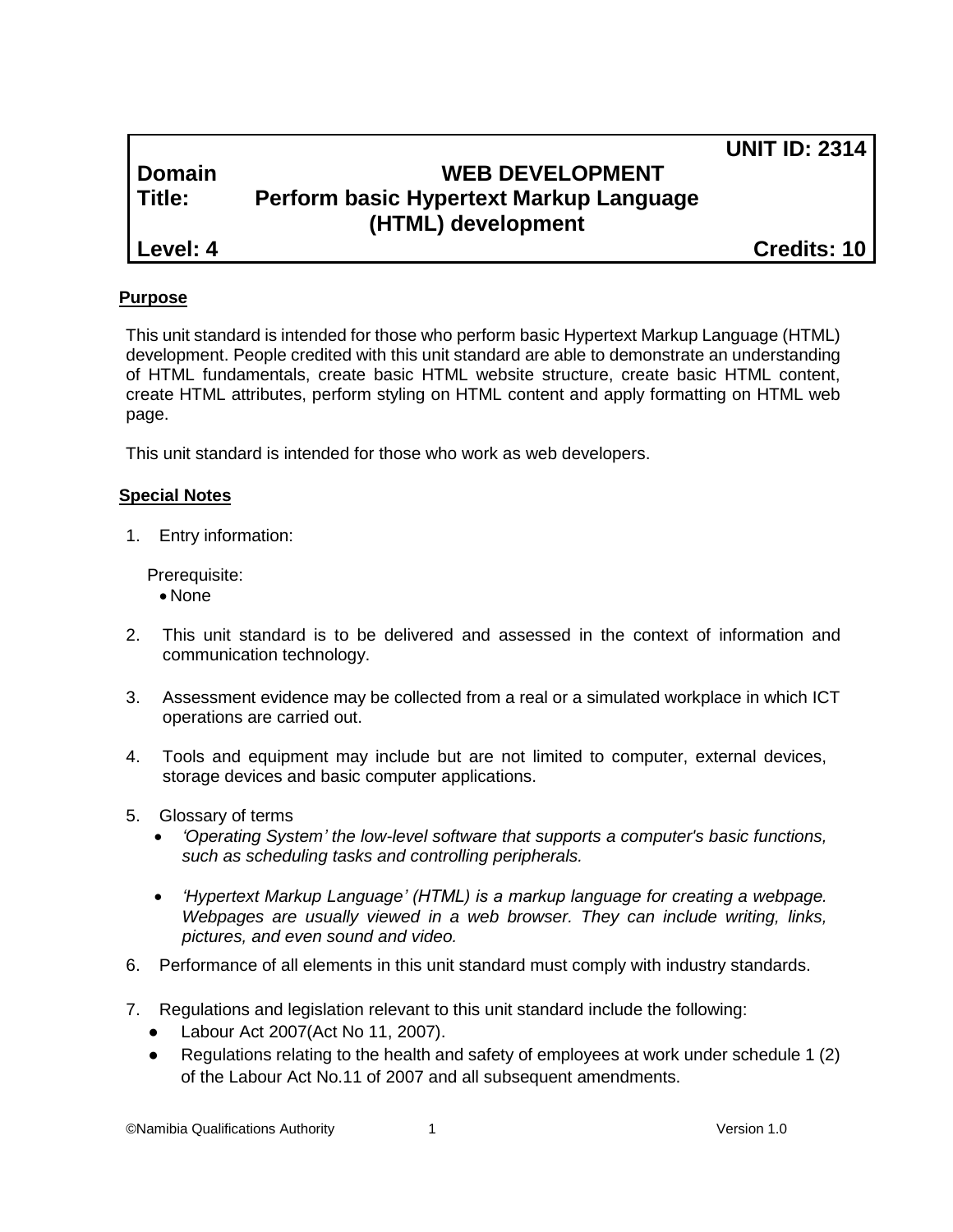| <b>Domain</b> |
|---------------|
| ---           |

# **WEB DEVELOPMENT Title: Perform basic Hypertext Markup Language (HTML) development**

**Level: 4 Credits: 10**

**UNIT ID: 2314**

# **Purpose**

This unit standard is intended for those who perform basic Hypertext Markup Language (HTML) development. People credited with this unit standard are able to demonstrate an understanding of HTML fundamentals, create basic HTML website structure, create basic HTML content, create HTML attributes, perform styling on HTML content and apply formatting on HTML web page.

This unit standard is intended for those who work as web developers.

#### **Special Notes**

1. Entry information:

Prerequisite:

- None
- 2. This unit standard is to be delivered and assessed in the context of information and communication technology.
- 3. Assessment evidence may be collected from a real or a simulated workplace in which ICT operations are carried out.
- 4. Tools and equipment may include but are not limited to computer, external devices, storage devices and basic computer applications.
- 5. Glossary of terms
	- *'Operating System' the low-level software that supports a computer's basic functions, such as scheduling tasks and controlling peripherals.*
	- *'Hypertext Markup Language' (HTML) is a markup language for creating a webpage. Webpages are usually viewed in a web browser. They can include writing, links, pictures, and even sound and video.*
- 6. Performance of all elements in this unit standard must comply with industry standards.
- 7. Regulations and legislation relevant to this unit standard include the following:
	- Labour Act 2007(Act No 11, 2007).
	- Regulations relating to the health and safety of employees at work under schedule 1 (2) of the Labour Act No.11 of 2007 and all subsequent amendments.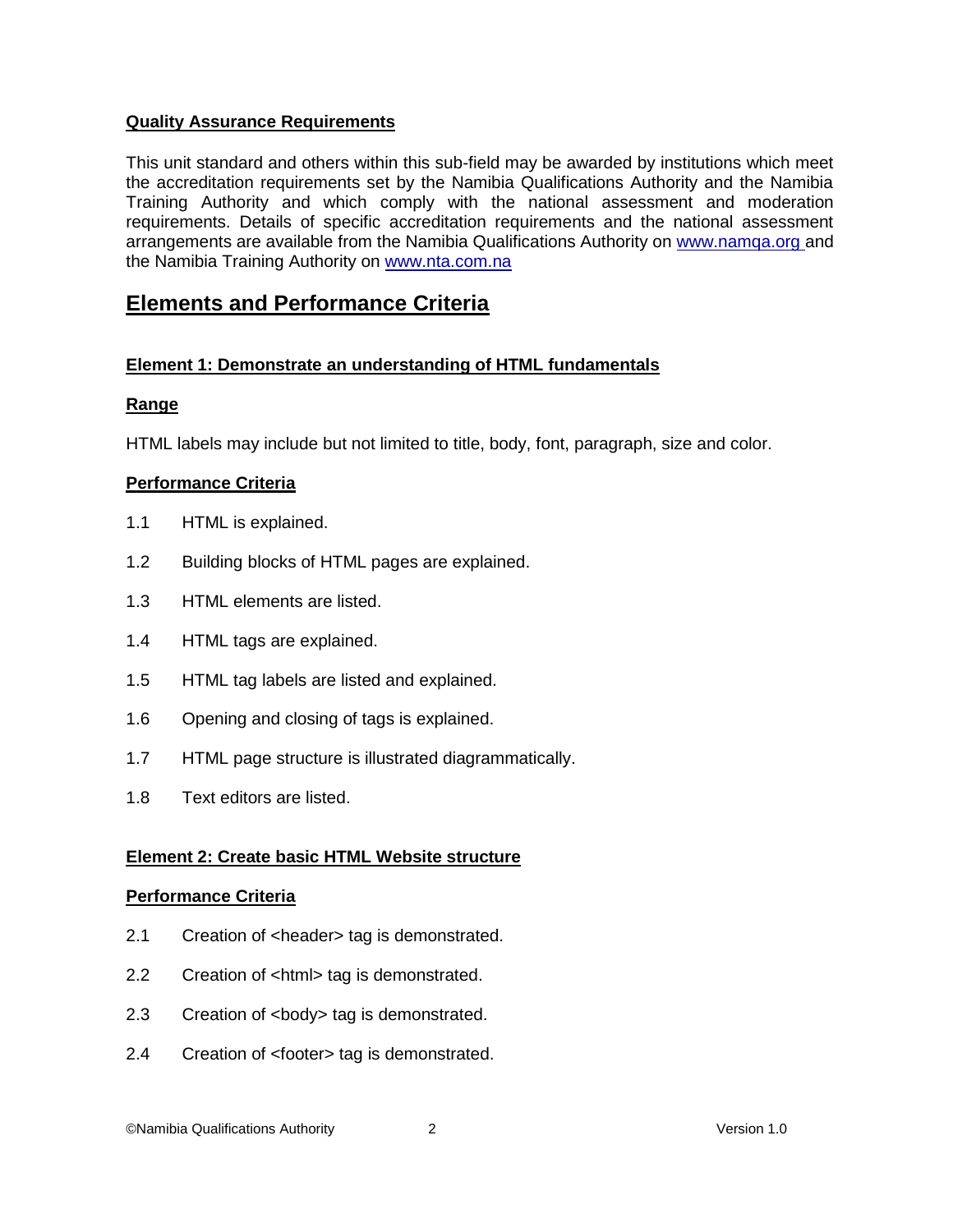#### **Quality Assurance Requirements**

This unit standard and others within this sub-field may be awarded by institutions which meet the accreditation requirements set by the Namibia Qualifications Authority and the Namibia Training Authority and which comply with the national assessment and moderation requirements. Details of specific accreditation requirements and the national assessment arrangements are available from the Namibia Qualifications Authority on [www.namqa.org a](http://www.namqa.org/)nd the Namibia Training Authority on [www.nta.com.na](http://www.nta.com.na/)

# **Elements and Performance Criteria**

## **Element 1: Demonstrate an understanding of HTML fundamentals**

## **Range**

HTML labels may include but not limited to title, body, font, paragraph, size and color.

## **Performance Criteria**

- 1.1 HTML is explained.
- 1.2 Building blocks of HTML pages are explained.
- 1.3 HTML elements are listed.
- 1.4 HTML tags are explained.
- 1.5 HTML tag labels are listed and explained.
- 1.6 Opening and closing of tags is explained.
- 1.7 HTML page structure is illustrated diagrammatically.
- 1.8 Text editors are listed.

#### **Element 2: Create basic HTML Website structure**

#### **Performance Criteria**

- 2.1 Creation of <header> tag is demonstrated.
- 2.2 Creation of <html> tag is demonstrated.
- 2.3 Creation of <body> tag is demonstrated.
- 2.4 Creation of <footer> tag is demonstrated.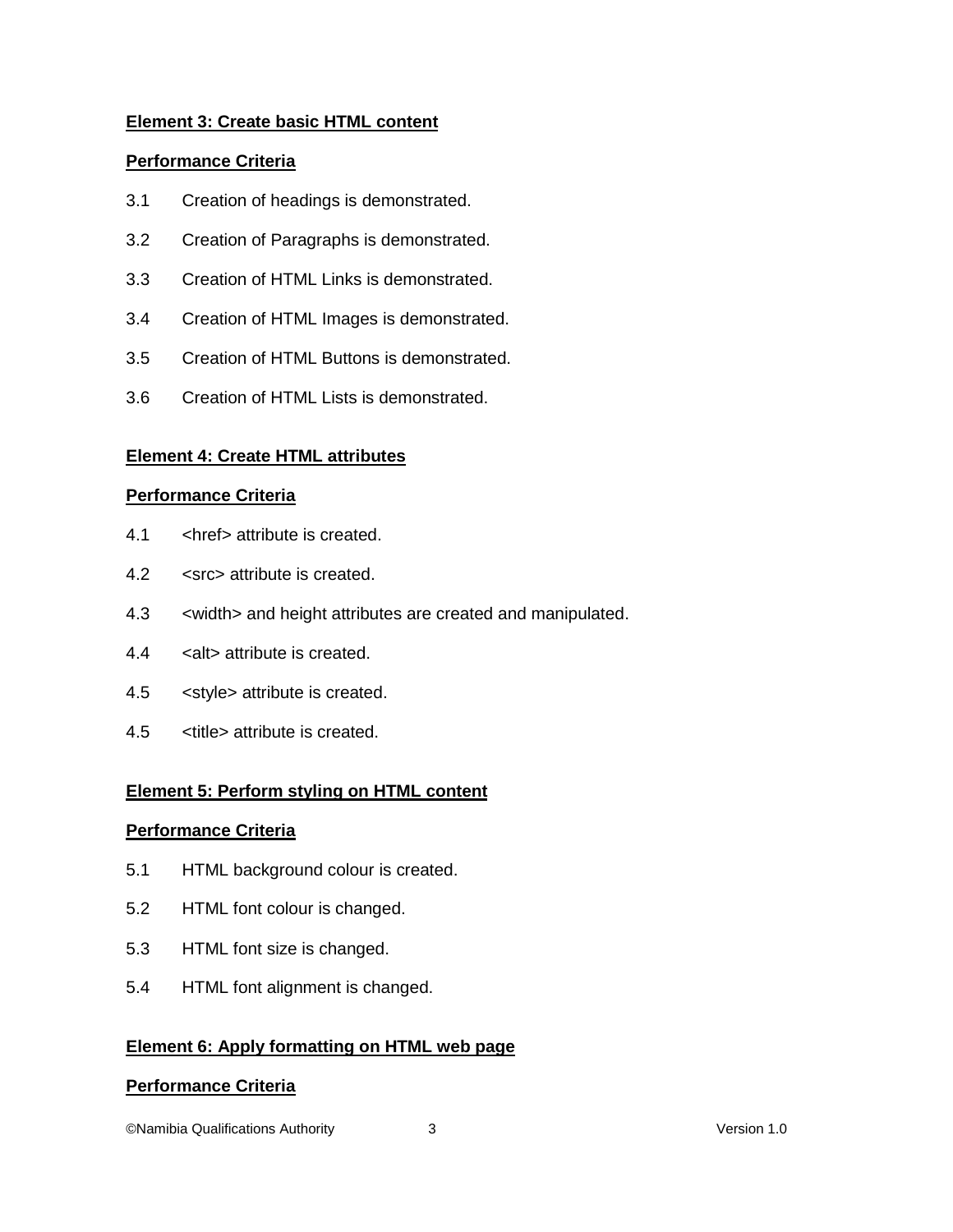## **Element 3: Create basic HTML content**

#### **Performance Criteria**

- 3.1 Creation of headings is demonstrated.
- 3.2 Creation of Paragraphs is demonstrated.
- 3.3 Creation of HTML Links is demonstrated.
- 3.4 Creation of HTML Images is demonstrated.
- 3.5 Creation of HTML Buttons is demonstrated.
- 3.6 Creation of HTML Lists is demonstrated.

#### **Element 4: Create HTML attributes**

#### **Performance Criteria**

- 4.1 <href> attribute is created.
- 4.2 <src> attribute is created.
- 4.3 <width> and height attributes are created and manipulated.
- 4.4 <alt> attribute is created.
- 4.5 <style> attribute is created.
- 4.5 <title> attribute is created.

#### **Element 5: Perform styling on HTML content**

#### **Performance Criteria**

- 5.1 HTML background colour is created.
- 5.2 HTML font colour is changed.
- 5.3 HTML font size is changed.
- 5.4 HTML font alignment is changed.

#### **Element 6: Apply formatting on HTML web page**

#### **Performance Criteria**